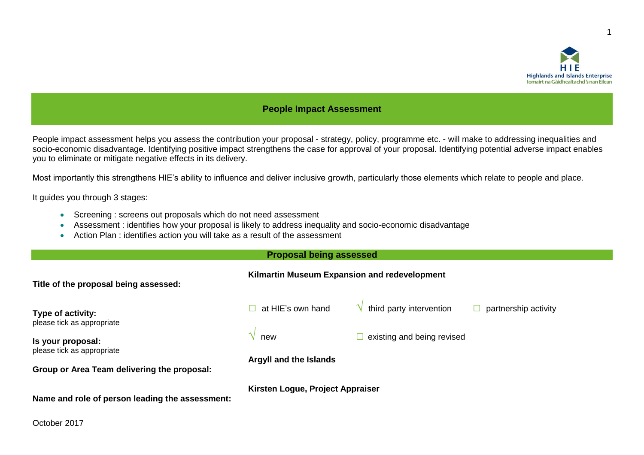

1

### **People Impact Assessment**

People impact assessment helps you assess the contribution your proposal - strategy, policy, programme etc. - will make to addressing inequalities and socio-economic disadvantage. Identifying positive impact strengthens the case for approval of your proposal. Identifying potential adverse impact enables you to eliminate or mitigate negative effects in its delivery.

Most importantly this strengthens HIE's ability to influence and deliver inclusive growth, particularly those elements which relate to people and place.

It guides you through 3 stages:

- Screening : screens out proposals which do not need assessment
- Assessment : identifies how your proposal is likely to address inequality and socio-economic disadvantage
- Action Plan : identifies action you will take as a result of the assessment

#### **Proposal being assessed**

| Title of the proposal being assessed:                                     | Kilmartin Museum Expansion and redevelopment |                            |                      |
|---------------------------------------------------------------------------|----------------------------------------------|----------------------------|----------------------|
| Type of activity:<br>please tick as appropriate                           | at HIE's own hand                            | third party intervention   | partnership activity |
| Is your proposal:                                                         | new                                          | existing and being revised |                      |
| please tick as appropriate<br>Group or Area Team delivering the proposal: | Argyll and the Islands                       |                            |                      |
| Name and role of person leading the assessment:                           | Kirsten Logue, Project Appraiser             |                            |                      |

October 2017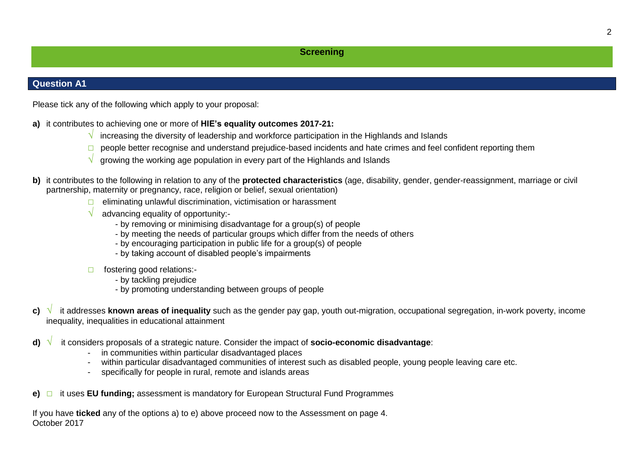### **Screening**

### **Question A1**

Please tick any of the following which apply to your proposal:

- **a)** it contributes to achieving one or more of **HIE's equality outcomes 2017-21:**
	- **√** increasing the diversity of leadership and workforce participation in the Highlands and Islands
	- **□** people better recognise and understand prejudice-based incidents and hate crimes and feel confident reporting them
	- **√** growing the working age population in every part of the Highlands and Islands
- **b)** it contributes to the following in relation to any of the **protected characteristics** (age, disability, gender, gender-reassignment, marriage or civil partnership, maternity or pregnancy, race, religion or belief, sexual orientation)
	- **□** eliminating unlawful discrimination, victimisation or harassment
	- **√** advancing equality of opportunity:-
		- by removing or minimising disadvantage for a group(s) of people
		- by meeting the needs of particular groups which differ from the needs of others
		- by encouraging participation in public life for a group(s) of people
		- by taking account of disabled people's impairments
	- **□** fostering good relations:-
		- by tackling prejudice
		- by promoting understanding between groups of people
- **c) √** it addresses **known areas of inequality** such as the gender pay gap, youth out-migration, occupational segregation, in-work poverty, income inequality, inequalities in educational attainment
- **d) √** it considers proposals of a strategic nature. Consider the impact of **socio-economic disadvantage**:
	- in communities within particular disadvantaged places
	- within particular disadvantaged communities of interest such as disabled people, young people leaving care etc.
	- specifically for people in rural, remote and islands areas
- **e) □** it uses **EU funding;** assessment is mandatory for European Structural Fund Programmes

October 2017 If you have **ticked** any of the options a) to e) above proceed now to the Assessment on page 4.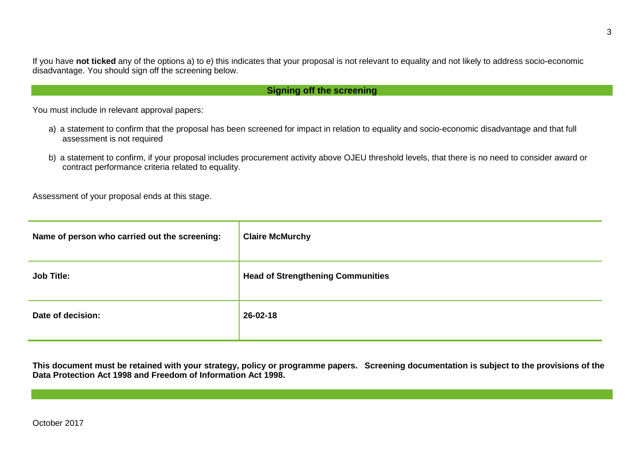If you have **not ticked** any of the options a) to e) this indicates that your proposal is not relevant to equality and not likely to address socio-economic disadvantage. You should sign off the screening below.

### **Signing off the screening**

You must include in relevant approval papers:

- a) a statement to confirm that the proposal has been screened for impact in relation to equality and socio-economic disadvantage and that full assessment is not required
- b) a statement to confirm, if your proposal includes procurement activity above OJEU threshold levels, that there is no need to consider award or contract performance criteria related to equality.

Assessment of your proposal ends at this stage.

| Name of person who carried out the screening: | <b>Claire McMurchy</b>                   |
|-----------------------------------------------|------------------------------------------|
| <b>Job Title:</b>                             | <b>Head of Strengthening Communities</b> |
| Date of decision:                             | 26-02-18                                 |

**This document must be retained with your strategy, policy or programme papers. Screening documentation is subject to the provisions of the Data Protection Act 1998 and Freedom of Information Act 1998.**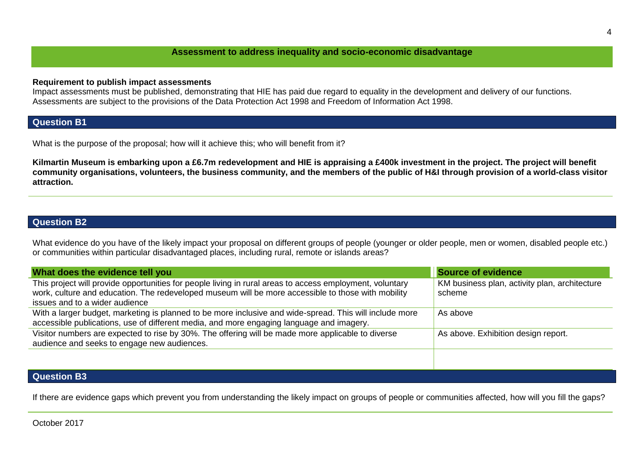#### **Assessment to address inequality and socio-economic disadvantage**

#### **Requirement to publish impact assessments**

Impact assessments must be published, demonstrating that HIE has paid due regard to equality in the development and delivery of our functions. Assessments are subject to the provisions of the Data Protection Act 1998 and Freedom of Information Act 1998.

### **Question B1**

What is the purpose of the proposal; how will it achieve this; who will benefit from it?

**Kilmartin Museum is embarking upon a £6.7m redevelopment and HIE is appraising a £400k investment in the project. The project will benefit community organisations, volunteers, the business community, and the members of the public of H&I through provision of a world-class visitor attraction.**

## **Question B2**

What evidence do you have of the likely impact your proposal on different groups of people (younger or older people, men or women, disabled people etc.) or communities within particular disadvantaged places, including rural, remote or islands areas?

| What does the evidence tell you                                                                                                                                                                                                                  | Source of evidence                                      |
|--------------------------------------------------------------------------------------------------------------------------------------------------------------------------------------------------------------------------------------------------|---------------------------------------------------------|
| This project will provide opportunities for people living in rural areas to access employment, voluntary<br>work, culture and education. The redeveloped museum will be more accessible to those with mobility<br>issues and to a wider audience | KM business plan, activity plan, architecture<br>scheme |
| With a larger budget, marketing is planned to be more inclusive and wide-spread. This will include more<br>accessible publications, use of different media, and more engaging language and imagery.                                              | As above                                                |
| Visitor numbers are expected to rise by 30%. The offering will be made more applicable to diverse<br>audience and seeks to engage new audiences.                                                                                                 | As above. Exhibition design report.                     |
|                                                                                                                                                                                                                                                  |                                                         |
| <b>Question B3</b>                                                                                                                                                                                                                               |                                                         |

If there are evidence gaps which prevent you from understanding the likely impact on groups of people or communities affected, how will you fill the gaps?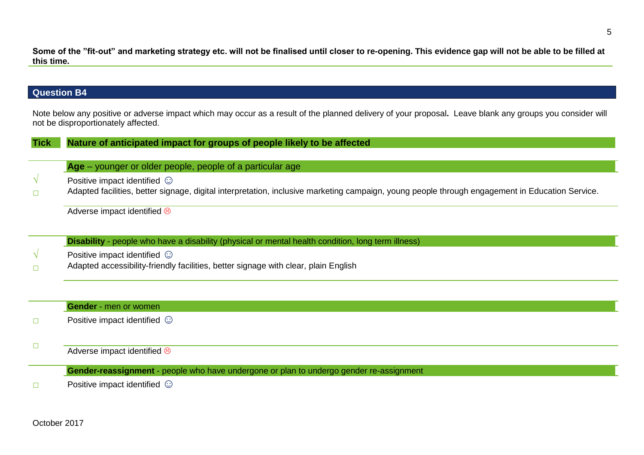**Some of the "fit-out" and marketing strategy etc. will not be finalised until closer to re-opening. This evidence gap will not be able to be filled at this time.**

# **Question B4**

Note below any positive or adverse impact which may occur as a result of the planned delivery of your proposal**.** Leave blank any groups you consider will not be disproportionately affected.

| <b>Tick</b> | Nature of anticipated impact for groups of people likely to be affected                                                                         |  |
|-------------|-------------------------------------------------------------------------------------------------------------------------------------------------|--|
|             |                                                                                                                                                 |  |
|             | Age – younger or older people, people of a particular age                                                                                       |  |
|             | Positive impact identified $\odot$                                                                                                              |  |
|             | Adapted facilities, better signage, digital interpretation, inclusive marketing campaign, young people through engagement in Education Service. |  |
|             | Adverse impact identified &                                                                                                                     |  |
|             |                                                                                                                                                 |  |
|             | Disability - people who have a disability (physical or mental health condition, long term illness)                                              |  |
|             | Positive impact identified $\odot$                                                                                                              |  |
|             | Adapted accessibility-friendly facilities, better signage with clear, plain English                                                             |  |
|             |                                                                                                                                                 |  |
|             |                                                                                                                                                 |  |
|             | <b>Gender</b> - men or women                                                                                                                    |  |
|             | Positive impact identified $\odot$                                                                                                              |  |
|             |                                                                                                                                                 |  |
|             |                                                                                                                                                 |  |
|             | Adverse impact identified &                                                                                                                     |  |
|             | Gender-reassignment - people who have undergone or plan to undergo gender re-assignment                                                         |  |
|             | Positive impact identified $\odot$                                                                                                              |  |
|             |                                                                                                                                                 |  |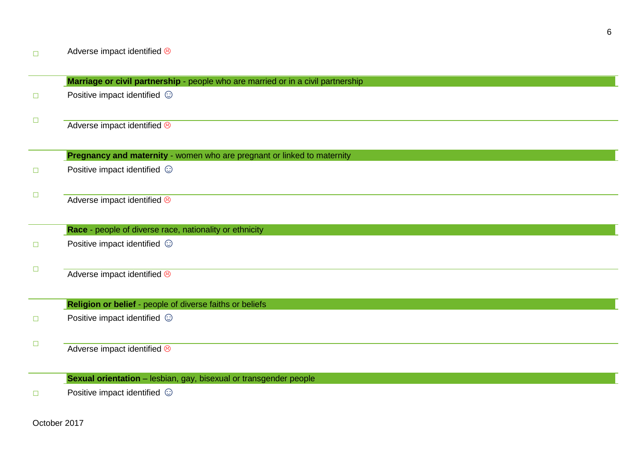**□ □ Marriage or civil partnership** - people who are married or in a civil partnership Positive impact identified  $\odot$ Adverse impact identified  $\circledast$ **□ □ Pregnancy and maternity** - women who are pregnant or linked to maternity Positive impact identified  $\odot$ Adverse impact identified  $\circledcirc$ **□ □ Race** - people of diverse race, nationality or ethnicity Positive impact identified  $\odot$ Adverse impact identified  $\circledcirc$ **□ □ Religion or belief** - people of diverse faiths or beliefs Positive impact identified  $\odot$ Adverse impact identified  $\circledcirc$ 

**Sexual orientation** – lesbian, gay, bisexual or transgender people

**□** Positive impact identified  $\odot$ 

October 2017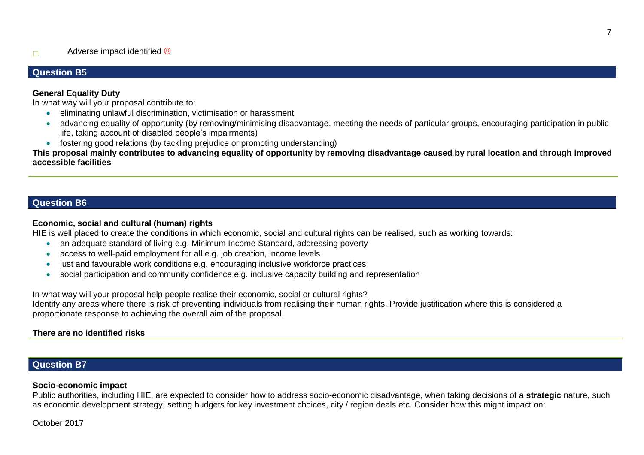## **Question B5**

### **General Equality Duty**

In what way will your proposal contribute to:

- eliminating unlawful discrimination, victimisation or harassment
- advancing equality of opportunity (by removing/minimising disadvantage, meeting the needs of particular groups, encouraging participation in public life, taking account of disabled people's impairments)
- fostering good relations (by tackling prejudice or promoting understanding)

**This proposal mainly contributes to advancing equality of opportunity by removing disadvantage caused by rural location and through improved accessible facilities**

### **Question B6**

### **Economic, social and cultural (human) rights**

HIE is well placed to create the conditions in which economic, social and cultural rights can be realised, such as working towards:

- an adequate standard of living e.g. Minimum Income Standard, addressing poverty
- access to well-paid employment for all e.g. job creation, income levels
- just and favourable work conditions e.g. encouraging inclusive workforce practices
- social participation and community confidence e.g. inclusive capacity building and representation

In what way will your proposal help people realise their economic, social or cultural rights?

Identify any areas where there is risk of preventing individuals from realising their human rights. Provide justification where this is considered a proportionate response to achieving the overall aim of the proposal.

### **There are no identified risks**

## **Question B7**

#### **Socio-economic impact**

Public authorities, including HIE, are expected to consider how to address socio-economic disadvantage, when taking decisions of a **strategic** nature, such as economic development strategy, setting budgets for key investment choices, city / region deals etc. Consider how this might impact on:

October 2017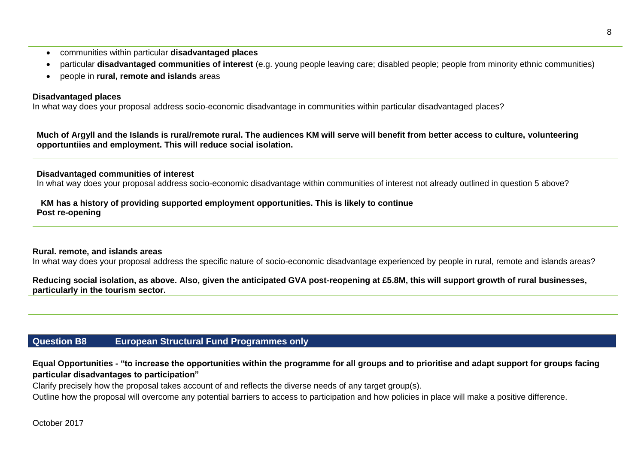- communities within particular **disadvantaged places**
- particular **disadvantaged communities of interest** (e.g. young people leaving care; disabled people; people from minority ethnic communities)
- people in **rural, remote and islands** areas

#### **Disadvantaged places**

In what way does your proposal address socio-economic disadvantage in communities within particular disadvantaged places?

**Much of Argyll and the Islands is rural/remote rural. The audiences KM will serve will benefit from better access to culture, volunteering opportuntiies and employment. This will reduce social isolation.**

#### **Disadvantaged communities of interest**

In what way does your proposal address socio-economic disadvantage within communities of interest not already outlined in question 5 above?

#### **KM has a history of providing supported employment opportunities. This is likely to continue Post re-opening**

#### **Rural. remote, and islands areas**

In what way does your proposal address the specific nature of socio-economic disadvantage experienced by people in rural, remote and islands areas?

**Reducing social isolation, as above. Also, given the anticipated GVA post-reopening at £5.8M, this will support growth of rural businesses, particularly in the tourism sector.**

## **Question B8 European Structural Fund Programmes only**

**Equal Opportunities - "to increase the opportunities within the programme for all groups and to prioritise and adapt support for groups facing particular disadvantages to participation"**

Clarify precisely how the proposal takes account of and reflects the diverse needs of any target group(s).

Outline how the proposal will overcome any potential barriers to access to participation and how policies in place will make a positive difference.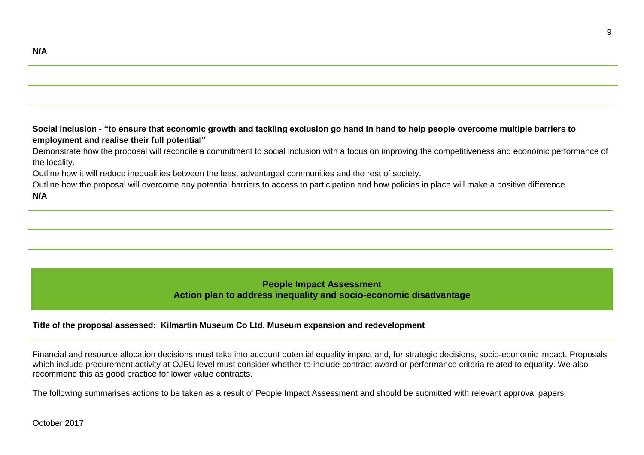**Social inclusion - "to ensure that economic growth and tackling exclusion go hand in hand to help people overcome multiple barriers to employment and realise their full potential"**

Demonstrate how the proposal will reconcile a commitment to social inclusion with a focus on improving the competitiveness and economic performance of the locality.

Outline how it will reduce inequalities between the least advantaged communities and the rest of society.

Outline how the proposal will overcome any potential barriers to access to participation and how policies in place will make a positive difference.

**N/A**

### **People Impact Assessment Action plan to address inequality and socio-economic disadvantage**

#### **Title of the proposal assessed: Kilmartin Museum Co Ltd. Museum expansion and redevelopment**

Financial and resource allocation decisions must take into account potential equality impact and, for strategic decisions, socio-economic impact. Proposals which include procurement activity at OJEU level must consider whether to include contract award or performance criteria related to equality. We also recommend this as good practice for lower value contracts.

The following summarises actions to be taken as a result of People Impact Assessment and should be submitted with relevant approval papers.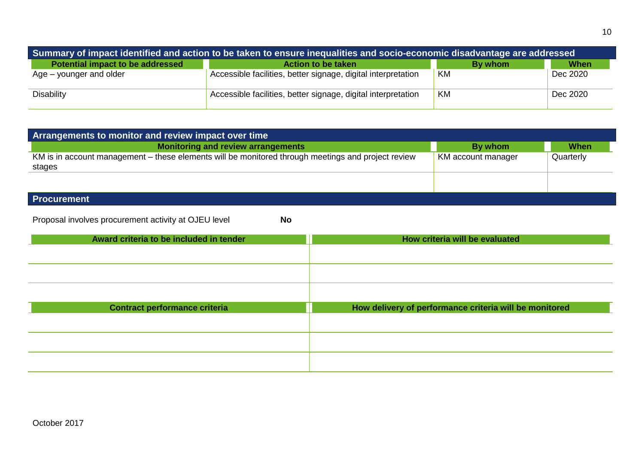| Summary of impact identified and action to be taken to ensure inequalities and socio-economic disadvantage are addressed |                                                               |         |          |
|--------------------------------------------------------------------------------------------------------------------------|---------------------------------------------------------------|---------|----------|
| <b>Potential impact to be addressed</b>                                                                                  | <b>Action to be taken</b>                                     | By whom | When     |
| Age – younger and older                                                                                                  | Accessible facilities, better signage, digital interpretation | KM      | Dec 2020 |
| <b>Disability</b>                                                                                                        | Accessible facilities, better signage, digital interpretation | KM      | Dec 2020 |

| Arrangements to monitor and review impact over time                                                          |                    |             |
|--------------------------------------------------------------------------------------------------------------|--------------------|-------------|
| <b>Monitoring and review arrangements</b>                                                                    | By whom            | <b>When</b> |
| KM is in account management – these elements will be monitored through meetings and project review<br>stages | KM account manager | Quarterly   |
|                                                                                                              |                    |             |
| Desalivament                                                                                                 |                    |             |

#### **Procurement**

Proposal involves procurement activity at OJEU level **No**

| How criteria will be evaluated                         |
|--------------------------------------------------------|
|                                                        |
|                                                        |
|                                                        |
|                                                        |
|                                                        |
| How delivery of performance criteria will be monitored |
|                                                        |
|                                                        |
|                                                        |
|                                                        |
|                                                        |
|                                                        |